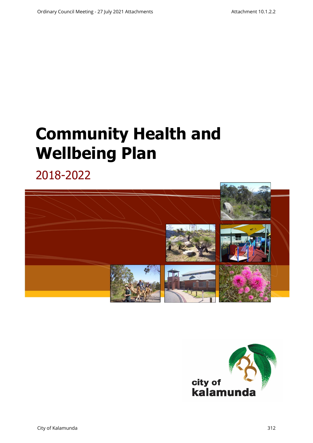# **Community Health and Wellbeing Plan**

2018-2022



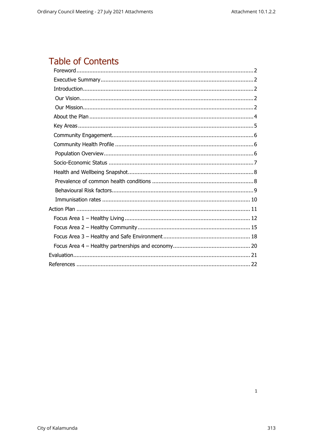# Table of Contents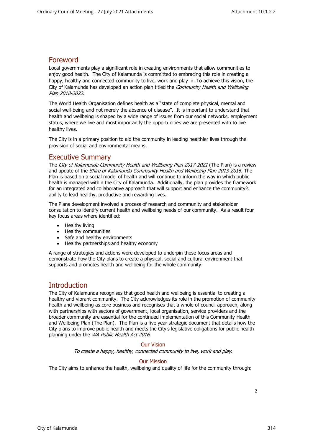## <span id="page-2-0"></span>Foreword

Local governments play a significant role in creating environments that allow communities to enjoy good health. The City of Kalamunda is committed to embracing this role in creating a happy, healthy and connected community to live, work and play in. To achieve this vision, the City of Kalamunda has developed an action plan titled the *Community Health and Wellbeing* Plan 2018-2022.

The World Health Organisation defines health as a "state of complete physical, mental and social well-being and not merely the absence of disease". It is important to understand that health and wellbeing is shaped by a wide range of issues from our social networks, employment status, where we live and most importantly the opportunities we are presented with to live healthy lives.

<span id="page-2-1"></span>The City is in a primary position to aid the community in leading healthier lives through the provision of social and environmental means.

#### Executive Summary

The City of Kalamunda Community Health and Wellbeing Plan 2017-2021 (The Plan) is a review and update of the Shire of Kalamunda Community Health and Wellbeing Plan 2013-2016. The Plan is based on a social model of health and will continue to inform the way in which public health is managed within the City of Kalamunda. Additionally, the plan provides the framework for an integrated and collaborative approach that will support and enhance the community's ability to lead healthy, productive and rewarding lives.

The Plans development involved a process of research and community and stakeholder consultation to identify current health and wellbeing needs of our community. As a result four key focus areas where identified:

- Healthy living
- Healthy communities
- Safe and healthy environments
- Healthy partnerships and healthy economy

A range of strategies and actions were developed to underpin these focus areas and demonstrate how the City plans to create a physical, social and cultural environment that supports and promotes health and wellbeing for the whole community.

### **Introduction**

<span id="page-2-2"></span>The City of Kalamunda recognises that good health and wellbeing is essential to creating a healthy and vibrant community. The City acknowledges its role in the promotion of community health and wellbeing as core business and recognises that a whole of council approach, along with partnerships with sectors of government, local organisation, service providers and the broader community are essential for the continued implementation of this Community Health and Wellbeing Plan (The Plan). The Plan is a five year strategic document that details how the City plans to improve public health and meets the City's legislative obligations for public health planning under the WA Public Health Act 2016.

#### Our Vision

To create a happy, healthy, connected community to live, work and play.

#### Our Mission

<span id="page-2-4"></span><span id="page-2-3"></span>The City aims to enhance the health, wellbeing and quality of life for the community through: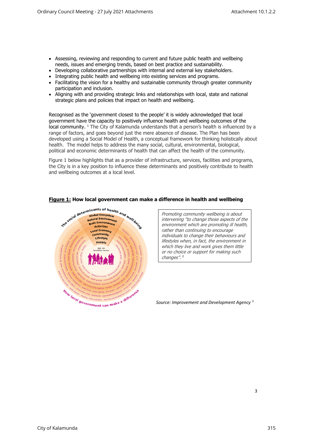- Assessing, reviewing and responding to current and future public health and wellbeing needs, issues and emerging trends, based on best practice and sustainability.
- Developing collaborative partnerships with internal and external key stakeholders.
- Integrating public health and wellbeing into existing services and programs.
- Facilitating the vision for a healthy and sustainable community through greater community participation and inclusion.
- Aligning with and providing strategic links and relationships with local, state and national strategic plans and policies that impact on health and wellbeing.

Recognised as the 'government closest to the people' it is widely acknowledged that local government have the capacity to positively influence health and wellbeing outcomes of the local community. <sup>1</sup> The City of Kalamunda understands that a person's health is influenced by a range of factors, and goes beyond just the mere absence of disease. The Plan has been developed using a Social Model of Health, a conceptual framework for thinking holistically about health. The model helps to address the many social, cultural, environmental, biological, political and economic determinants of health that can affect the health of the community.

Figure 1 below highlights that as a provider of infrastructure, services, facilities and programs, the City is in a key position to influence these determinants and positively contribute to health and wellbeing outcomes at a local level.



#### **Figure 1: How local government can make a difference in health and wellbeing**

Promoting community wellbeing is about intervening "to change those aspects of th<sup>e</sup> environment which are promoting ill health, rather than continuing to encourage individuals to change their behaviours and lifestyles when, in fact, the environment in which they live and work gives them little or no choice or support for making such changes".<sup>2</sup>

*Source: Improvement and Development Agency* <sup>3</sup>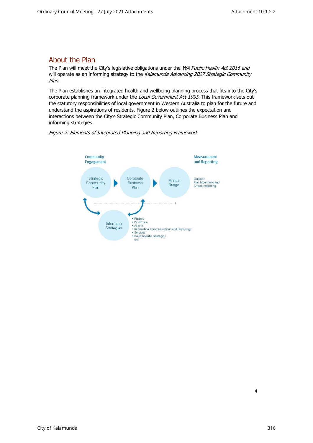## <span id="page-4-0"></span>About the Plan

The Plan will meet the City's legislative obligations under the WA Public Health Act 2016 and will operate as an informing strategy to the Kalamunda Advancing 2027 Strategic Community Plan.

The Plan establishes an integrated health and wellbeing planning process that fits into the City's corporate planning framework under the Local Government Act 1995. This framework sets out the statutory responsibilities of local government in Western Australia to plan for the future and understand the aspirations of residents. Figure 2 below outlines the expectation and interactions between the City's Strategic Community Plan, Corporate Business Plan and informing strategies.



#### Figure 2: Elements of Integrated Planning and Reporting Framework



4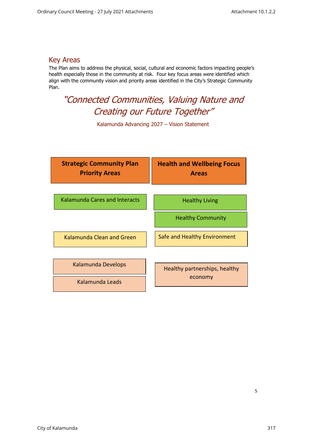## <span id="page-5-0"></span>Key Areas

The Plan aims to address the physical, social, cultural and economic factors impacting people's health especially those in the community at risk. Four key focus areas were identified which align with the community vision and priority areas identified in the City's Strategic Community Plan.

"Connected Communities, Valuing Nature and Creating our Future Together"

Kalamunda Advancing 2027 – Vision Statement

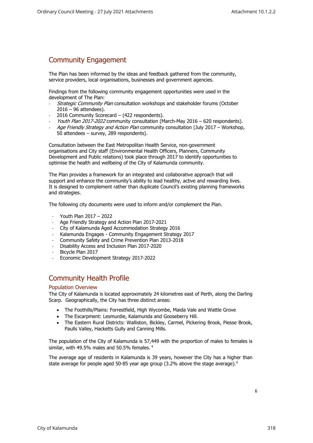## <span id="page-6-0"></span>Community Engagement

The Plan has been informed by the ideas and feedback gathered from the community, service providers, local organisations, businesses and government agencies.

Findings from the following community engagement opportunities were used in the development of The Plan:

- Strategic Community Plan consultation workshops and stakeholder forums (October 2016 – 96 attendees).
- 2016 Community Scorecard (422 respondents).
- Youth Plan 2017-2022 community consultation (March-May 2016 620 respondents).
- Age Friendly Strategy and Action Plan community consultation (July 2017 Workshop, 50 attendees – survey, 289 respondents).

Consultation between the East Metropolitan Health Service, non-government organisations and City staff (Environmental Health Officers, Planners, Community Development and Public relations) took place through 2017 to identify opportunities to optimise the health and wellbeing of the City of Kalamunda community.

The Plan provides a framework for an integrated and collaborative approach that will support and enhance the community's ability to lead healthy, active and rewarding lives. It is designed to complement rather than duplicate Council's existing planning frameworks and strategies.

The following city documents were used to inform and/or complement the Plan.

- Youth Plan 2017 2022
- Age Friendly Strategy and Action Plan 2017-2021
- City of Kalamunda Aged Accommodation Strategy 2016
- Kalamunda Engages Community Engagement Strategy 2017
- Community Safety and Crime Prevention Plan 2013-2018
- Disability Access and Inclusion Plan 2017-2020
- Bicycle Plan 2017
- Economic Development Strategy 2017-2022

## Community Health Profile

#### <span id="page-6-1"></span>Population Overview

<span id="page-6-2"></span>The City of Kalamunda is located approximately 24 kilometres east of Perth, along the Darling Scarp. Geographically, the City has three distinct areas:

- The Foothills/Plains: Forrestfield, High Wycombe, Maida Vale and Wattle Grove
- The Escarpment: Lesmurdie, Kalamunda and Gooseberry Hill.
- The Eastern Rural Districts: Walliston, Bickley, Carmel, Pickering Brook, Piesse Brook, Paulls Valley, Hacketts Gully and Canning Mills.

The population of the City of Kalamunda is 57,449 with the proportion of males to females is similar, with 49.5% males and 50.5% females. <sup>4</sup>

The average age of residents in Kalamunda is 39 years, however the City has a higher than state average for people aged 50-85 year age group (3.2% above the stage average).<sup>4</sup>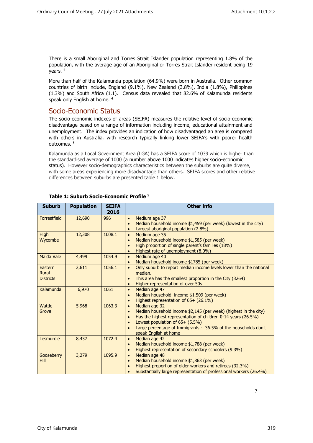There is a small Aboriginal and Torres Strait Islander population representing 1.8% of the population, with the average age of an Aboriginal or Torres Strait Islander resident being 19 years. <sup>4</sup>

<span id="page-7-0"></span>More than half of the Kalamunda population (64.9%) were born in Australia. Other common countries of birth include, England (9.1%), New Zealand (3.8%), India (1.8%), Philippines (1.3%) and South Africa (1.1). Census data revealed that 82.6% of Kalamunda residents speak only English at home. <sup>4</sup>

### Socio-Economic Status

The socio-economic indexes of areas (SEIFA) measures the relative level of socio-economic disadvantage based on a range of information including income, educational attainment and unemployment. The index provides an indication of how disadvantaged an area is compared with others in Australia, with research typically linking lower SEIFA's with poorer health outcomes. <sup>5</sup>

Kalamunda as a Local Government Area (LGA) has a SEIFA score of 1039 which is higher than the standardised average of 1000 (a number above 1000 indicates higher socio-economic status). However socio-demographics characteristics between the suburbs are quite diverse, with some areas experiencing more disadvantage than others. SEIFA scores and other relative differences between suburbs are presented table 1 below.

| <b>Suburb</b>                        | <b>Population</b> | <b>SEIFA</b><br>2016 | <b>Other info</b>                                                                                                                                                                                                                                                                                          |
|--------------------------------------|-------------------|----------------------|------------------------------------------------------------------------------------------------------------------------------------------------------------------------------------------------------------------------------------------------------------------------------------------------------------|
| Forrestfield                         | 12,690            | 996                  | Medium age 37<br>$\bullet$<br>Median household income \$1,459 (per week) (lowest in the city)<br>$\bullet$<br>Largest aboriginal population (2.8%)                                                                                                                                                         |
| <b>High</b><br>Wycombe               | 12,308            | 1008.1               | Medium age 35<br>$\bullet$<br>Median household income \$1,585 (per week)<br>$\bullet$<br>High proportion of single parent's families (18%)<br>Highest rate of unemployment (8.0%)<br>$\bullet$                                                                                                             |
| <b>Maida Vale</b>                    | 4,499             | 1054.9               | Medium age 40<br>$\bullet$<br>Median household income \$1785 (per week)<br>$\bullet$                                                                                                                                                                                                                       |
| Eastern<br>Rural<br><b>Districts</b> | 2,611             | 1056.1               | Only suburb to report median income levels lower than the national<br>$\bullet$<br>median.<br>This area has the smallest proportion in the City (3264)<br>$\bullet$<br>Higher representation of over 50s<br>$\bullet$                                                                                      |
| Kalamunda                            | 6,970             | 1061                 | Median age 47<br>$\bullet$<br>Median household income \$1,509 (per week)<br>$\bullet$<br>Highest representation of 65+ (26.1%)                                                                                                                                                                             |
| Wattle<br>Grove                      | 5,968             | 1063.3               | Median age 32<br>$\bullet$<br>Median household income \$2,145 (per week) (highest in the city)<br>$\bullet$<br>Has the highest representation of children 0-14 years (26.5%)<br>Lowest population of 65+ (5.5%)<br>Large percentage of Immigrants - 36.5% of the households don't<br>speak English at home |
| Lesmurdie                            | 8,437             | 1072.4               | Median age 42<br>$\bullet$<br>Median household income \$1,788 (per week)<br>$\bullet$<br>Highest representation of secondary schoolers (9.3%)<br>$\bullet$                                                                                                                                                 |
| Gooseberry<br><b>Hill</b>            | 3,279             | 1095.9               | Median age 48<br>$\bullet$<br>Median household income \$1,863 (per week)<br>$\bullet$<br>Highest proportion of older workers and retirees (32.3%)<br>Substantially large representation of professional workers (26.4%)                                                                                    |

#### **Table 1: Suburb Socio-Economic Profile** <sup>5</sup>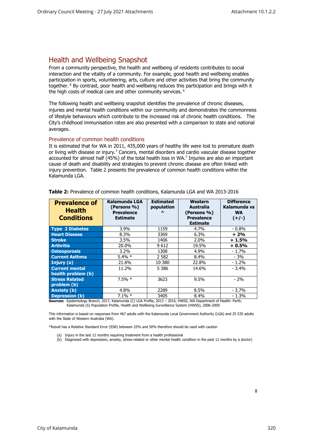## <span id="page-8-0"></span>Health and Wellbeing Snapshot

From a community perspective, the health and wellbeing of residents contributes to social interaction and the vitality of a community. For example, good health and wellbeing enables participation in sports, volunteering, arts, culture and other activities that bring the community together. <sup>6</sup> By contrast, poor health and wellbeing reduces this participation and brings with it the high costs of medical care and other community services.  $6$ 

The following health and wellbeing snapshot identifies the prevalence of chronic diseases, injuries and mental health conditions within our community and demonstrates the commonness of lifestyle behaviours which contribute to the increased risk of chronic health conditions. The City's childhood immunisation rates are also presented with a comparison to state and national averages.

#### <span id="page-8-1"></span>Prevalence of common health conditions

It is estimated that for WA in 2011, 435,000 years of healthy life were lost to premature death or living with disease or injury.<sup>7</sup> Cancers, mental disorders and cardio vascular disease together accounted for almost half (45%) of the total health loss in WA.<sup>7</sup> Injuries are also an important cause of death and disability and strategies to prevent chronic disease are often linked with injury prevention. Table 2 presents the prevalence of common health conditions within the Kalamunda LGA.

| <b>Prevalence of</b><br><b>Health</b><br><b>Conditions</b> | Kalamunda LGA<br>(Persons %)<br><b>Prevalence</b><br><b>Estimate</b> | <b>Estimated</b><br>population<br>$\lambda$ | Western<br>Australia<br>(Persons %)<br><b>Prevalence</b><br><b>Estimate</b> | <b>Difference</b><br>Kalamunda vs<br><b>WA</b><br>$(+/-)$ |
|------------------------------------------------------------|----------------------------------------------------------------------|---------------------------------------------|-----------------------------------------------------------------------------|-----------------------------------------------------------|
| <b>Type 2 Diabetes</b>                                     | $3.9\%$                                                              | 1159                                        | 4.7%                                                                        | - 0.8%                                                    |
| <b>Heart Disease</b>                                       | 8.3%                                                                 | 3369                                        | 6.3%                                                                        | $+2%$                                                     |
| <b>Stroke</b>                                              | 3.5%                                                                 | 1406                                        | 2.0%                                                                        | $+1.5%$                                                   |
| <b>Arthritis</b>                                           | 20.0%                                                                | 9612                                        | 19.5%                                                                       | $+0.5%$                                                   |
| <b>Osteoporosis</b>                                        | $3.2\%$                                                              | 1308                                        | 4.9%                                                                        | $-1.7%$                                                   |
| <b>Current Asthma</b>                                      | $5.4\% *$                                                            | 2 5 8 2                                     | 8.4%                                                                        | $-3%$                                                     |
| Injury (a)                                                 | 21.6%                                                                | 10 380                                      | 22.8%                                                                       | $-1.2%$                                                   |
| <b>Current mental</b><br>health problem (b)                | 11.2%                                                                | 5 3 8 6                                     | 14.6%                                                                       | $-3.4%$                                                   |
| <b>Stress Related</b><br>problem (b)                       | $7.5\% *$                                                            | 3623                                        | 9.5%                                                                        | $-2%$                                                     |
| Anxiety (b)                                                | 4.8%                                                                 | 2289                                        | 8.5%                                                                        | $-3.7%$                                                   |
| <b>Depression (b)</b>                                      | $7.1\%$ *                                                            | 3405                                        | 8.4%                                                                        | $-1.3%$                                                   |

**Table 2:** Prevalence of common health conditions, Kalamunda LGA and WA 2013-2016

**Sources:** Epidemiology Branch, 2017, Kalamunda (C) LGA Profile, 2013 – 2016, HWSS, WA Department of Health: Perth. Kalamunda (S) Population Profile, Health and Wellbeing Surveillance System (HWSS), 2006-2009

This information is based on responses from 467 adults with the Kalamunda Local Government Authority (LGA) and 25 535 adults with the State of Western Australia (WA).

\*Result has a Relative Standard Error (ESR) between 25% and 50% therefore should be used with caution

- (a) Injury in the last 12 months requiring treatment from a health professional
- (b) Diagnosed with depression, anxiety, stress-related or other mental health condition in the past 12 months by a doctor)

8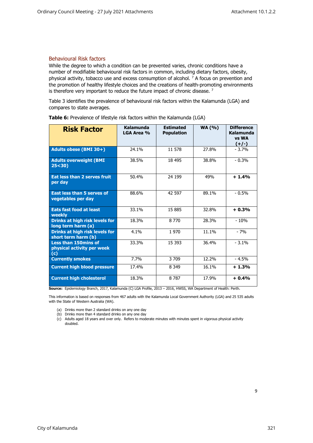#### <span id="page-9-0"></span>Behavioural Risk factors

While the degree to which a condition can be prevented varies, chronic conditions have a number of modifiable behavioural risk factors in common, including dietary factors, obesity, physical activity, tobacco use and excess consumption of alcohol.  $7$  A focus on prevention and the promotion of healthy lifestyle choices and the creations of health-promoting environments is therefore very important to reduce the future impact of chronic disease.  $7$ 

Table 3 identifies the prevalence of behavioural risk factors within the Kalamunda (LGA) and compares to state averages.

| <b>Risk Factor</b>                                               | Kalamunda<br>LGA Area % | <b>Estimated</b><br><b>Population</b> | <b>WA (%)</b> | <b>Difference</b><br>Kalamunda<br>vs WA<br>$(+/-)$ |
|------------------------------------------------------------------|-------------------------|---------------------------------------|---------------|----------------------------------------------------|
| Adults obese (BMI 30+)                                           | 24.1%                   | 11 578                                | 27.8%         | $-3.7%$                                            |
| <b>Adults overweight (BMI</b><br>25 < 30                         | 38.5%                   | 18 495                                | 38.8%         | $-0.3%$                                            |
| Eat less than 2 serves fruit<br>per day                          | 50.4%                   | 24 199                                | 49%           | $+1.4%$                                            |
| <b>East less than 5 serves of</b><br>vegetables per day          | 88.6%                   | 42 597                                | 89.1%         | $-0.5%$                                            |
| <b>Eats fast food at least</b><br>weekly                         | 33.1%                   | 15 885                                | 32.8%         | $+0.3%$                                            |
| Drinks at high risk levels for<br>long term harm (a)             | 18.3%                   | 8 7 7 0                               | 28.3%         | $-10%$                                             |
| Drinks at high risk levels for<br>short term harm (b)            | 4.1%                    | 1970                                  | 11.1%         | $-7%$                                              |
| <b>Less than 150mins of</b><br>physical activity per week<br>(c) | 33.3%                   | 15 3 93                               | 36.4%         | $-3.1%$                                            |
| <b>Currently smokes</b>                                          | 7.7%                    | 3 709                                 | 12.2%         | $-4.5%$                                            |
| <b>Current high blood pressure</b>                               | 17.4%                   | 8 3 4 9                               | 16.1%         | $+1.3%$                                            |
| <b>Current high cholesterol</b>                                  | 18.3%                   | 8787                                  | 17.9%         | $+0.4%$                                            |

**Table 6:** Prevalence of lifestyle risk factors within the Kalamunda (LGA)

**Source:** Epidemiology Branch, 2017, Kalamunda (C) LGA Profile, 2013 – 2016, HWSS, WA Department of Health: Perth.

This information is based on responses from 467 adults with the Kalamunda Local Government Authority (LGA) and 25 535 adults with the State of Western Australia (WA).

- (a) Drinks more than 2 standard drinks on any one day
- (b) Drinks more than 4 standard drinks on any one day
- (c) Adults aged 18 years and over only. Refers to moderate minutes with minutes spent in vigorous physical activity doubled.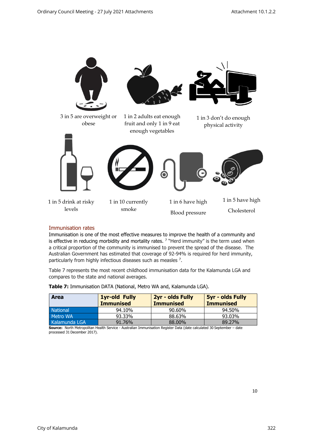

#### <span id="page-10-0"></span>Immunisation rates

Immunisation is one of the most effective measures to improve the health of a community and is effective in reducing morbidity and mortality rates.  $7$  "Herd immunity" is the term used when a critical proportion of the community is immunised to prevent the spread of the disease. The Australian Government has estimated that coverage of 92-94% is required for herd immunity, particularly from highly infectious diseases such as measles <sup>7</sup>.

Table 7 represents the most recent childhood immunisation data for the Kalamunda LGA and compares to the state and national averages.

| <b>Area</b>     | <b>1yr-old Fully</b><br>2yr - olds Fully<br><b>Immunised</b><br><b>Immunised</b><br><b>Immunised</b> |        | <b>5yr - olds Fully</b> |
|-----------------|------------------------------------------------------------------------------------------------------|--------|-------------------------|
| <b>National</b> | 94.10%                                                                                               | 90.60% | 94.50%                  |
| Metro WA        | 93.33%                                                                                               | 88.63% | 93.03%                  |
| Kalamunda LGA   | 91.76%                                                                                               | 88.00% | 89.27%                  |

**Table 7:** Immunisation DATA (National, Metro WA and, Kalamunda LGA).

**Source:** North Metropolitan Health Service - Australian Immunisation Register Data (date calculated 30 September – date processed 31 December 2017).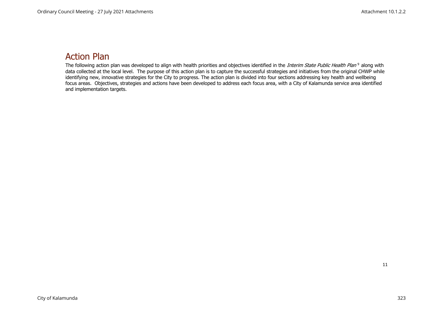# Action Plan

<span id="page-11-0"></span>The following action plan was developed to align with health priorities and objectives identified in the *Interim State Public Health Plan* <sup>9</sup> along with data collected at the local level. The purpose of this action plan is to capture the successful strategies and initiatives from the original CHWP while identifying new, innovative strategies for the City to progress. The action plan is divided into four sections addressing key health and wellbeing focus areas. Objectives, strategies and actions have been developed to address each focus area, with a City of Kalamunda service area identified and implementation targets.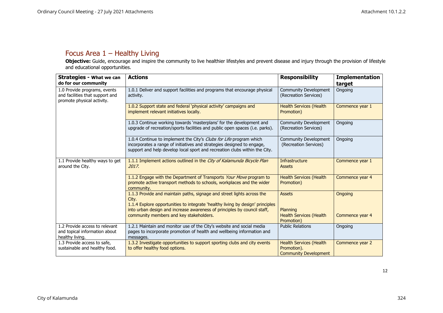# Focus Area 1 – Healthy Living

**Objective:** Guide, encourage and inspire the community to live healthier lifestyles and prevent disease and injury through the provision of lifestyle and educational opportunities.

<span id="page-12-0"></span>

| <b>Strategies - What we can</b><br>do for our community                                       | <b>Actions</b>                                                                                                                                                                                                                                | <b>Responsibility</b>                                                         | <b>Implementation</b><br>target |
|-----------------------------------------------------------------------------------------------|-----------------------------------------------------------------------------------------------------------------------------------------------------------------------------------------------------------------------------------------------|-------------------------------------------------------------------------------|---------------------------------|
| 1.0 Provide programs, events<br>and facilities that support and<br>promote physical activity. | 1.0.1 Deliver and support facilities and programs that encourage physical<br>activity.                                                                                                                                                        | Community Development<br>(Recreation Services)                                | Ongoing                         |
|                                                                                               | 1.0.2 Support state and federal 'physical activity' campaigns and<br>implement relevant initiatives locally.                                                                                                                                  | <b>Health Services (Health</b><br>Promotion)                                  | Commence year 1                 |
|                                                                                               | 1.0.3 Continue working towards 'masterplans' for the development and<br>upgrade of recreation/sports facilities and public open spaces (i.e. parks).                                                                                          | Community Development<br>(Recreation Services)                                | Ongoing                         |
|                                                                                               | 1.0.4 Continue to implement the City's Clubs for Life program which<br>incorporates a range of initiatives and strategies designed to engage,<br>support and help develop local sport and recreation clubs within the City.                   | Community Development<br>(Recreation Services)                                | Ongoing                         |
| 1.1 Provide healthy ways to get<br>around the City.                                           | 1.1.1 Implement actions outlined in the City of Kalamunda Bicycle Plan<br>2017.                                                                                                                                                               | Infrastructure<br><b>Assets</b>                                               | Commence year 1                 |
|                                                                                               | 1.1.2 Engage with the Department of Transports Your Move program to<br>promote active transport methods to schools, workplaces and the wider<br>community.                                                                                    | <b>Health Services (Health</b><br>Promotion)                                  | Commence year 4                 |
|                                                                                               | 1.1.3 Provide and maintain paths, signage and street lights across the<br>City.<br>1.1.4 Explore opportunities to integrate 'healthy living by design' principles<br>into urban design and increase awareness of principles by council staff, | <b>Assets</b><br>Planning                                                     | Ongoing                         |
|                                                                                               | community members and key stakeholders.                                                                                                                                                                                                       | <b>Health Services (Health</b><br>Promotion)                                  | Commence year 4                 |
| 1.2 Provide access to relevant<br>and topical information about<br>healthy living.            | 1.2.1 Maintain and monitor use of the City's website and social media<br>pages to incorporate promotion of health and wellbeing information and<br>messages.                                                                                  | <b>Public Relations</b>                                                       | Ongoing                         |
| 1.3 Provide access to safe,<br>sustainable and healthy food.                                  | 1.3.2 Investigate opportunities to support sporting clubs and city events<br>to offer healthy food options.                                                                                                                                   | <b>Health Services (Health</b><br>Promotion).<br><b>Community Development</b> | Commence year 2                 |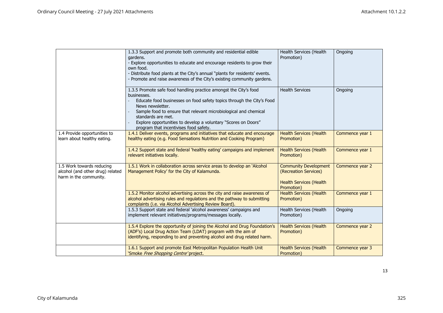|                                                                                         | 1.3.3 Support and promote both community and residential edible<br>gardens.<br>- Explore opportunities to educate and encourage residents to grow their<br>own food.<br>- Distribute food plants at the City's annual "plants for residents' events.<br>- Promote and raise awareness of the City's existing community gardens.                                                     | Health Services (Health<br>Promotion)                                                                 | Ongoing         |
|-----------------------------------------------------------------------------------------|-------------------------------------------------------------------------------------------------------------------------------------------------------------------------------------------------------------------------------------------------------------------------------------------------------------------------------------------------------------------------------------|-------------------------------------------------------------------------------------------------------|-----------------|
|                                                                                         | 1.3.5 Promote safe food handling practice amongst the City's food<br>businesses.<br>Educate food businesses on food safety topics through the City's Food<br>News newsletter.<br>Sample food to ensure that relevant microbiological and chemical<br>standards are met.<br>Explore opportunities to develop a voluntary "Scores on Doors"<br>program that incentivises food safety. | <b>Health Services</b>                                                                                | Ongoing         |
| 1.4 Provide opportunities to<br>learn about healthy eating.                             | 1.4.1 Deliver events, programs and initiatives that educate and encourage<br>healthy eating (e.g. Food Sensations Nutrition and Cooking Program)                                                                                                                                                                                                                                    | <b>Health Services (Health</b><br>Promotion)                                                          | Commence year 1 |
|                                                                                         | 1.4.2 Support state and federal 'healthy eating' campaigns and implement<br>relevant initiatives locally.                                                                                                                                                                                                                                                                           | <b>Health Services (Health</b><br>Promotion)                                                          | Commence year 1 |
| 1.5 Work towards reducing<br>alcohol (and other drug) related<br>harm in the community. | 1.5.1 Work in collaboration across service areas to develop an 'Alcohol<br>Management Policy' for the City of Kalamunda.                                                                                                                                                                                                                                                            | <b>Community Development</b><br>(Recreation Services)<br><b>Health Services (Health</b><br>Promotion) | Commence year 2 |
|                                                                                         | 1.5.2 Monitor alcohol advertising across the city and raise awareness of<br>alcohol advertising rules and regulations and the pathway to submitting<br>complaints (i.e. via Alcohol Advertising Review Board).                                                                                                                                                                      | <b>Health Services (Health</b><br>Promotion)                                                          | Commence year 1 |
|                                                                                         | 1.5.3 Support state and federal 'alcohol awareness' campaigns and<br>implement relevant initiatives/programs/messages locally.                                                                                                                                                                                                                                                      | Health Services (Health<br>Promotion)                                                                 | Ongoing         |
|                                                                                         | 1.5.4 Explore the opportunity of joining the Alcohol and Drug Foundation's<br>(ADF's) Local Drug Action Team (LDAT) program with the aim of<br>identifying, responding to and preventing alcohol and drug related harm.                                                                                                                                                             | <b>Health Services (Health</b><br>Promotion)                                                          | Commence year 2 |
|                                                                                         | 1.6.1 Support and promote East Metropolitan Population Health Unit<br>'Smoke <i>Free Shopping Centre'</i> project,                                                                                                                                                                                                                                                                  | <b>Health Services (Health</b><br>Promotion)                                                          | Commence year 3 |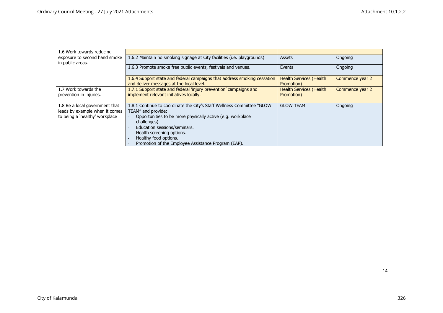| 1.6 Work towards reducing                         |                                                                                                                      |                                              |                 |
|---------------------------------------------------|----------------------------------------------------------------------------------------------------------------------|----------------------------------------------|-----------------|
| exposure to second hand smoke<br>in public areas. | 1.6.2 Maintain no smoking signage at City facilities (i.e. playgrounds)                                              | <b>Assets</b>                                | Ongoing         |
|                                                   | 1.6.3 Promote smoke free public events, festivals and venues.                                                        | Events                                       | Ongoing         |
|                                                   | 1.6.4 Support state and federal campaigns that address smoking cessation<br>and deliver messages at the local level. | <b>Health Services (Health</b><br>Promotion) | Commence year 2 |
| 1.7 Work towards the                              | 1.7.1 Support state and federal 'injury prevention' campaigns and                                                    | <b>Health Services (Health</b>               | Commence year 2 |
| prevention in injuries.                           | implement relevant initiatives locally.                                                                              | Promotion)                                   |                 |
| 1.8 Be a local government that                    | 1.8.1 Continue to coordinate the City's Staff Wellness Committee "GLOW"                                              | <b>GLOW TEAM</b>                             | Ongoing         |
| leads by example when it comes                    | TEAM" and provide:                                                                                                   |                                              |                 |
| to being a 'healthy' workplace                    | Opportunities to be more physically active (e.g. workplace<br>challenges).                                           |                                              |                 |
|                                                   | Education sessions/seminars.                                                                                         |                                              |                 |
|                                                   | Health screening options.                                                                                            |                                              |                 |
|                                                   | Healthy food options.                                                                                                |                                              |                 |
|                                                   | Promotion of the Employee Assistance Program (EAP).                                                                  |                                              |                 |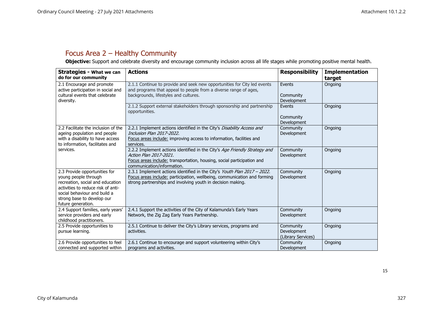# Focus Area 2 – Healthy Community

**Objective:** Support and celebrate diversity and encourage community inclusion across all life stages while promoting positive mental health.

<span id="page-15-0"></span>

| <b>Strategies - What we can</b><br>do for our community                                                                                                                                                             | <b>Actions</b>                                                                                                                                                                                                      | <b>Responsibility</b>                          | <b>Implementation</b><br>target |
|---------------------------------------------------------------------------------------------------------------------------------------------------------------------------------------------------------------------|---------------------------------------------------------------------------------------------------------------------------------------------------------------------------------------------------------------------|------------------------------------------------|---------------------------------|
| 2.1 Encourage and promote<br>active participation in social and<br>cultural events that celebrate<br>diversity.                                                                                                     | 2.1.1 Continue to provide and seek new opportunities for City led events<br>and programs that appeal to people from a diverse range of ages,<br>backgrounds, lifestyles and cultures.                               | Events<br>Community<br>Development             | Ongoing                         |
|                                                                                                                                                                                                                     | 2.1.2 Support external stakeholders through sponsorship and partnership<br>opportunities.                                                                                                                           | Events<br>Community<br><b>Development</b>      | Ongoing                         |
| 2.2 Facilitate the inclusion of the<br>ageing population and people<br>with a disability to have access<br>to information, facilitates and                                                                          | 2.2.1 Implement actions identified in the City's Disability Access and<br>Inclusion Plan 2017-2022.<br>Focus areas include: improving access to information, facilities and<br>services.                            | Community<br>Development                       | Ongoing                         |
| services.                                                                                                                                                                                                           | 2.2.2 Implement actions identified in the City's Age Friendly Strategy and<br>Action Plan 2017-2021.<br>Focus areas include: transportation, housing, social participation and<br>communication/information.        | Community<br>Development                       | Ongoing                         |
| 2.3 Provide opportunities for<br>young people through<br>recreation, social and education<br>activities to reduce risk of anti-<br>social behaviour and build a<br>strong base to develop our<br>future generation. | 2.3.1 Implement actions identified in the City's Youth Plan 2017 - 2022.<br>Focus areas include: participation, wellbeing, communication and forming<br>strong partnerships and involving youth in decision making. | Community<br>Development                       | Ongoing                         |
| 2.4 Support families, early years'<br>service providers and early<br>childhood practitioners.                                                                                                                       | 2.4.1 Support the activities of the City of Kalamunda's Early Years<br>Network, the Zig Zag Early Years Partnership.                                                                                                | Community<br>Development                       | Ongoing                         |
| 2.5 Provide opportunities to<br>pursue learning.                                                                                                                                                                    | 2.5.1 Continue to deliver the City's Library services, programs and<br>activities.                                                                                                                                  | Community<br>Development<br>(Library Services) | Ongoing                         |
| 2.6 Provide opportunities to feel<br>connected and supported within                                                                                                                                                 | 2.6.1 Continue to encourage and support volunteering within City's<br>programs and activities.                                                                                                                      | Community<br>Development                       | Ongoing                         |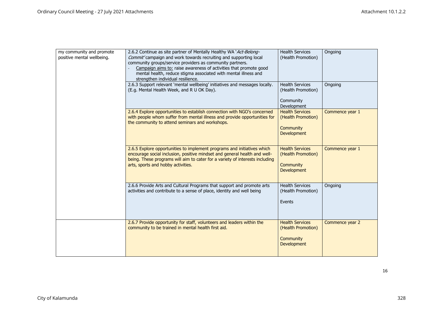| my community and promote<br>positive mental wellbeing. | 2.6.2 Continue as site partner of Mentally Healthy WA 'Act-Belong-<br>Commit' campaign and work towards recruiting and supporting local<br>community groups/service providers as community partners.<br>Campaign aims to: raise awareness of activities that promote good<br>mental health, reduce stigma associated with mental illness and<br>strengthen individual resilience.<br>2.6.3 Support relevant 'mental wellbeing' initiatives and messages locally. | <b>Health Services</b><br>(Health Promotion)<br><b>Health Services</b>          | Ongoing<br>Ongoing |
|--------------------------------------------------------|------------------------------------------------------------------------------------------------------------------------------------------------------------------------------------------------------------------------------------------------------------------------------------------------------------------------------------------------------------------------------------------------------------------------------------------------------------------|---------------------------------------------------------------------------------|--------------------|
|                                                        | (E.g. Mental Health Week, and R U OK Day).                                                                                                                                                                                                                                                                                                                                                                                                                       | (Health Promotion)<br>Community<br>Development                                  |                    |
|                                                        | 2.6.4 Explore opportunities to establish connection with NGO's concerned<br>with people whom suffer from mental illness and provide opportunities for<br>the community to attend seminars and workshops.                                                                                                                                                                                                                                                         | <b>Health Services</b><br>(Health Promotion)<br>Community<br><b>Development</b> | Commence year 1    |
|                                                        | 2.6.5 Explore opportunities to implement programs and initiatives which<br>encourage social inclusion, positive mindset and general health and well-<br>being. These programs will aim to cater for a variety of interests including<br>arts, sports and hobby activities.                                                                                                                                                                                       | <b>Health Services</b><br>(Health Promotion)<br>Community<br>Development        | Commence year 1    |
|                                                        | 2.6.6 Provide Arts and Cultural Programs that support and promote arts<br>activities and contribute to a sense of place, identity and well being                                                                                                                                                                                                                                                                                                                 | <b>Health Services</b><br>(Health Promotion)<br>Events                          | Ongoing            |
|                                                        | 2.6.7 Provide opportunity for staff, volunteers and leaders within the<br>community to be trained in mental health first aid.                                                                                                                                                                                                                                                                                                                                    | <b>Health Services</b><br>(Health Promotion)<br>Community<br><b>Development</b> | Commence year 2    |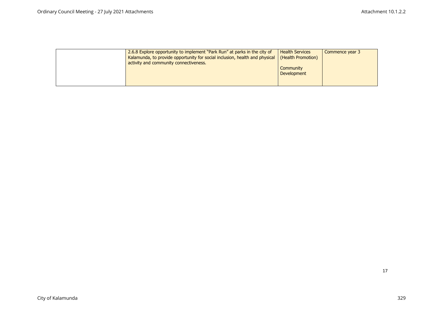| 2.6.8 Explore opportunity to implement "Park Run" at parks in the city of<br>Kalamunda, to provide opportunity for social inclusion, health and physical<br>activity and community connectiveness. | <b>Health Services</b><br>(Health Promotion) | Commence year 3 |
|----------------------------------------------------------------------------------------------------------------------------------------------------------------------------------------------------|----------------------------------------------|-----------------|
|                                                                                                                                                                                                    | Community<br><b>Development</b>              |                 |
|                                                                                                                                                                                                    |                                              |                 |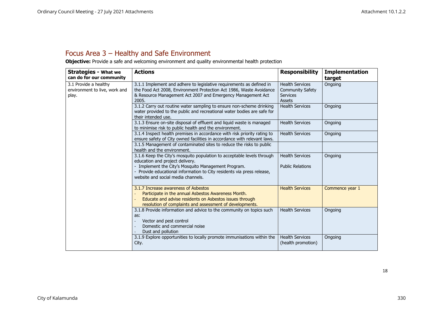# Focus Area 3 – Healthy and Safe Environment

**Objective:** Provide a safe and welcoming environment and quality environmental health protection

<span id="page-18-0"></span>

| <b>Strategies - What we</b>                                     | <b>Actions</b>                                                                                                                                                                                                      | <b>Responsibility</b>                                                   | <b>Implementation</b> |
|-----------------------------------------------------------------|---------------------------------------------------------------------------------------------------------------------------------------------------------------------------------------------------------------------|-------------------------------------------------------------------------|-----------------------|
| can do for our community                                        |                                                                                                                                                                                                                     |                                                                         | target                |
| 3.1 Provide a healthy<br>environment to live, work and<br>play. | 3.1.1 Implement and adhere to legislative requirements as defined in<br>the Food Act 2008, Environment Protection Act 1986, Waste Avoidance<br>& Resource Management Act 2007 and Emergency Management Act<br>2005. | <b>Health Services</b><br><b>Community Safety</b><br>Services<br>Assets | Ongoing               |
|                                                                 | 3.1.2 Carry out routine water sampling to ensure non-scheme drinking<br>water provided to the public and recreational water bodies are safe for<br>their intended use.                                              | <b>Health Services</b>                                                  | Ongoing               |
|                                                                 | 3.1.3 Ensure on-site disposal of effluent and liquid waste is managed<br>to minimise risk to public health and the environment.                                                                                     | <b>Health Services</b>                                                  | Ongoing               |
|                                                                 | 3.1.4 Inspect health premises in accordance with risk priority rating to<br>ensure safety of City owned facilities in accordance with relevant laws.                                                                | <b>Health Services</b>                                                  | Ongoing               |
|                                                                 | 3.1.5 Management of contaminated sites to reduce the risks to public<br>health and the environment.                                                                                                                 |                                                                         |                       |
|                                                                 | 3.1.6 Keep the City's mosquito population to acceptable levels through<br>education and project delivery.                                                                                                           | <b>Health Services</b>                                                  | Ongoing               |
|                                                                 | - Implement the City's Mosquito Management Program.<br>- Provide educational information to City residents via press release,<br>website and social media channels.                                                 | <b>Public Relations</b>                                                 |                       |
|                                                                 | 3.1.7 Increase awareness of Asbestos<br>Participate in the annual Asbestos Awareness Month.<br>Educate and advise residents on Asbestos issues through<br>resolution of complaints and assessment of developments.  | <b>Health Services</b>                                                  | Commence year 1       |
|                                                                 | 3.1.8 Provide information and advice to the community on topics such<br>as:<br>Vector and pest control<br>Domestic and commercial noise<br>Dust and pollution                                                       | <b>Health Services</b>                                                  | Ongoing               |
|                                                                 | 3.1.9 Explore opportunities to locally promote immunisations within the<br>City.                                                                                                                                    | <b>Health Services</b><br>(health promotion)                            | Ongoing               |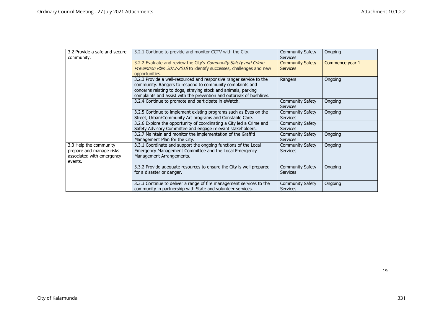| 3.2 Provide a safe and secure | 3.2.1 Continue to provide and monitor CCTV with the City.            | <b>Community Safety</b> | Ongoing         |
|-------------------------------|----------------------------------------------------------------------|-------------------------|-----------------|
| community.                    |                                                                      | <b>Services</b>         |                 |
|                               | 3.2.2 Evaluate and review the City's Community Safety and Crime      | <b>Community Safety</b> | Commence year 1 |
|                               | Prevention Plan 2013-2018 to identify successes, challenges and new  | <b>Services</b>         |                 |
|                               | opportunities.                                                       |                         |                 |
|                               | 3.2.3 Provide a well-resourced and responsive ranger service to the  | Rangers                 | Ongoing         |
|                               | community. Rangers to respond to community complaints and            |                         |                 |
|                               | concerns relating to dogs, straying stock and animals, parking       |                         |                 |
|                               | complaints and assist with the prevention and outbreak of bushfires. |                         |                 |
|                               | 3.2.4 Continue to promote and participate in eWatch.                 | <b>Community Safety</b> | Ongoing         |
|                               |                                                                      | <b>Services</b>         |                 |
|                               | 3.2.5 Continue to implement existing programs such as Eyes on the    | <b>Community Safety</b> | Ongoing         |
|                               | Street, Urban/Community Art programs and Constable Care.             | <b>Services</b>         |                 |
|                               | 3.2.6 Explore the opportunity of coordinating a City led a Crime and | <b>Community Safety</b> |                 |
|                               | Safety Advisory Committee and engage relevant stakeholders.          | <b>Services</b>         |                 |
|                               | 3.2.7 Maintain and monitor the implementation of the Graffiti        | <b>Community Safety</b> | Ongoing         |
|                               | Management Plan for the City.                                        | <b>Services</b>         |                 |
| 3.3 Help the community        | 3.3.1 Coordinate and support the ongoing functions of the Local      | <b>Community Safety</b> | Ongoing         |
| prepare and manage risks      | Emergency Management Committee and the Local Emergency               | <b>Services</b>         |                 |
| associated with emergency     | Management Arrangements.                                             |                         |                 |
| events.                       |                                                                      |                         |                 |
|                               | 3.3.2 Provide adequate resources to ensure the City is well prepared | <b>Community Safety</b> | Ongoing         |
|                               | for a disaster or danger.                                            | <b>Services</b>         |                 |
|                               |                                                                      |                         |                 |
|                               | 3.3.3 Continue to deliver a range of fire management services to the | <b>Community Safety</b> | Ongoing         |
|                               | community in partnership with State and volunteer services.          | Services                |                 |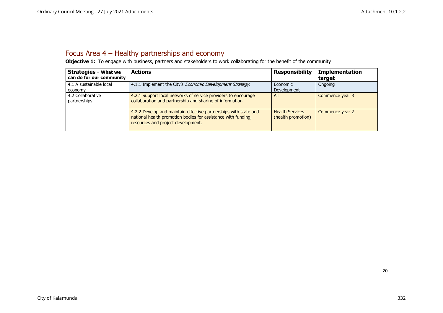# Focus Area 4 – Healthy partnerships and economy

**Objective 1:** To engage with business, partners and stakeholders to work collaborating for the benefit of the community

<span id="page-20-0"></span>

| <b>Strategies - What we</b><br>can do for our community | <b>Actions</b>                                                                                                                                                          | <b>Responsibility</b>                        | <b>Implementation</b><br>target |
|---------------------------------------------------------|-------------------------------------------------------------------------------------------------------------------------------------------------------------------------|----------------------------------------------|---------------------------------|
| 4.1 A sustainable local<br>economy                      | 4.1.1 Implement the City's <i>Economic Development Strategy</i> .                                                                                                       | Economic<br>Development                      | Ongoing                         |
| 4.2 Collaborative<br>partnerships                       | 4.2.1 Support local networks of service providers to encourage<br>collaboration and partnership and sharing of information.                                             | All                                          | Commence year 3                 |
|                                                         | 4.2.2 Develop and maintain effective partnerships with state and<br>national health promotion bodies for assistance with funding,<br>resources and project development. | <b>Health Services</b><br>(health promotion) | Commence year 2                 |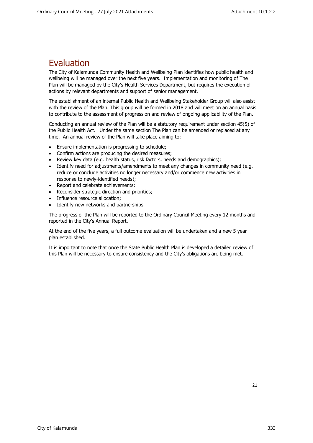# <span id="page-21-0"></span>Evaluation

The City of Kalamunda Community Health and Wellbeing Plan identifies how public health and wellbeing will be managed over the next five years. Implementation and monitoring of The Plan will be managed by the City's Health Services Department, but requires the execution of actions by relevant departments and support of senior management.

The establishment of an internal Public Health and Wellbeing Stakeholder Group will also assist with the review of the Plan. This group will be formed in 2018 and will meet on an annual basis to contribute to the assessment of progression and review of ongoing applicability of the Plan.

Conducting an annual review of the Plan will be a statutory requirement under section 45(5) of the Public Health Act. Under the same section The Plan can be amended or replaced at any time. An annual review of the Plan will take place aiming to:

- Ensure implementation is progressing to schedule;
- Confirm actions are producing the desired measures;
- Review key data (e.g. health status, risk factors, needs and demographics);
- Identify need for adjustments/amendments to meet any changes in community need (e.g. reduce or conclude activities no longer necessary and/or commence new activities in response to newly-identified needs);
- Report and celebrate achievements;
- Reconsider strategic direction and priorities;
- Influence resource allocation;
- Identify new networks and partnerships.

The progress of the Plan will be reported to the Ordinary Council Meeting every 12 months and reported in the City's Annual Report.

At the end of the five years, a full outcome evaluation will be undertaken and a new 5 year plan established.

It is important to note that once the State Public Health Plan is developed a detailed review of this Plan will be necessary to ensure consistency and the City's obligations are being met.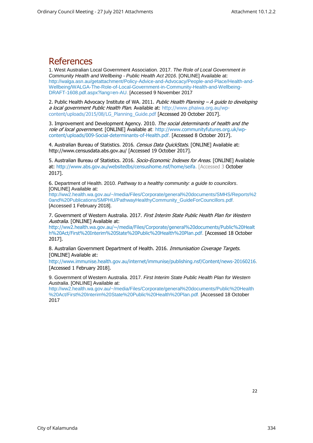# <span id="page-22-0"></span>References

1. West Australian Local Government Association. 2017. *The Role of Local Government in Community Health and Wellbeing - Public Health Act 2016*. [ONLINE] Available at: [http://walga.asn.au/getattachment/Policy-Advice-and-Advocacy/People-and-Place/Health-and-](http://walga.asn.au/getattachment/Policy-Advice-and-Advocacy/People-and-Place/Health-and-Wellbeing/WALGA-The-Role-of-Local-Government-in-Community-Health-and-Wellbeing-DRAFT-1608.pdf.aspx?lang=en-AU)[Wellbeing/WALGA-The-Role-of-Local-Government-in-Community-Health-and-Wellbeing-](http://walga.asn.au/getattachment/Policy-Advice-and-Advocacy/People-and-Place/Health-and-Wellbeing/WALGA-The-Role-of-Local-Government-in-Community-Health-and-Wellbeing-DRAFT-1608.pdf.aspx?lang=en-AU)[DRAFT-1608.pdf.aspx?lang=en-AU.](http://walga.asn.au/getattachment/Policy-Advice-and-Advocacy/People-and-Place/Health-and-Wellbeing/WALGA-The-Role-of-Local-Government-in-Community-Health-and-Wellbeing-DRAFT-1608.pdf.aspx?lang=en-AU) [Accessed 9 November 2017

2. Public Health Advocacy Institute of WA. 2011. Public Health Planning  $-A$  quide to developing a local government Public Health Plan. Available at: [http://www.phaiwa.org.au/wp](http://www.phaiwa.org.au/wp-content/uploads/2015/08/LG_Planning_Guide.pdf)[content/uploads/2015/08/LG\\_Planning\\_Guide.pdf](http://www.phaiwa.org.au/wp-content/uploads/2015/08/LG_Planning_Guide.pdf) [Accessed 20 October 2017].

3. Improvement and Development Agency. 2010. The social determinants of health and the role of local government. [ONLINE] Available at: [http://www.communityfutures.org.uk/wp](http://www.communityfutures.org.uk/wp-content/uploads/009-Social-determinants-of-Health.pdf)[content/uploads/009-Social-determinants-of-Health.pdf.](http://www.communityfutures.org.uk/wp-content/uploads/009-Social-determinants-of-Health.pdf) [Accessed 8 October 2017].

4. Australian Bureau of Statistics. 2016. Census Data QuickStats. [ONLINE] Available at: [http://www.censusdata.abs.gov.au/](http://www.censusdata.abs.gov.au/census_services/getproduct/census/2016/quickstat/50605?opendocument) [Accessed 19 October 2017].

5. Australian Bureau of Statistics. 2016. Socio-Economic Indexes for Areas. [ONLINE] Available at: [http://www.abs.gov.au/websitedbs/censushome.nsf/home/seifa.](http://www.abs.gov.au/websitedbs/censushome.nsf/home/seifa) [Accessed 3 October 2017].

6. Department of Health. 2010. *Pathway to a healthy community: a guide to councilors*. [ONLINE] Available at:

[http://ww2.health.wa.gov.au/~/media/Files/Corporate/general%20documents/SMHS/Reports%2](http://ww2.health.wa.gov.au/~/media/Files/Corporate/general%20documents/SMHS/Reports%20and%20Publications/SMPHU/PathwayHealthyCommunity_GuideForCouncillors.pdf) [0and%20Publications/SMPHU/PathwayHealthyCommunity\\_GuideForCouncillors.pdf.](http://ww2.health.wa.gov.au/~/media/Files/Corporate/general%20documents/SMHS/Reports%20and%20Publications/SMPHU/PathwayHealthyCommunity_GuideForCouncillors.pdf) [Accessed 1 February 2018].

7. Government of Western Australia. 2017. First Interim State Public Health Plan for Western Australia. [ONLINE] Available at:

[http://ww2.health.wa.gov.au/~/media/Files/Corporate/general%20documents/Public%20Healt](http://ww2.health.wa.gov.au/~/media/Files/Corporate/general%20documents/Public%20Health%20Act/First%20Interim%20State%20Public%20Health%20Plan.pdf) [h%20Act/First%20Interim%20State%20Public%20Health%20Plan.pdf.](http://ww2.health.wa.gov.au/~/media/Files/Corporate/general%20documents/Public%20Health%20Act/First%20Interim%20State%20Public%20Health%20Plan.pdf) [Accessed 18 October 2017].

8. Australian Government Department of Health. 2016. Immunisation Coverage Targets. [ONLINE] Available at:

[http://www.immunise.health.gov.au/internet/immunise/publishing.nsf/Content/news-20160216.](http://www.immunise.health.gov.au/internet/immunise/publishing.nsf/Content/news-20160216) [Accessed 1 February 2018].

9. Government of Western Australia. 2017. *First Interim State Public Health Plan for Western Australia*. [ONLINE] Available at:

[http://ww2.health.wa.gov.au/~/media/Files/Corporate/general%20documents/Public%20Health](http://ww2.health.wa.gov.au/~/media/Files/Corporate/general%20documents/Public%20Health%20Act/First%20Interim%20State%20Public%20Health%20Plan.pdf) [%20Act/First%20Interim%20State%20Public%20Health%20Plan.pdf.](http://ww2.health.wa.gov.au/~/media/Files/Corporate/general%20documents/Public%20Health%20Act/First%20Interim%20State%20Public%20Health%20Plan.pdf) [Accessed 18 October 2017